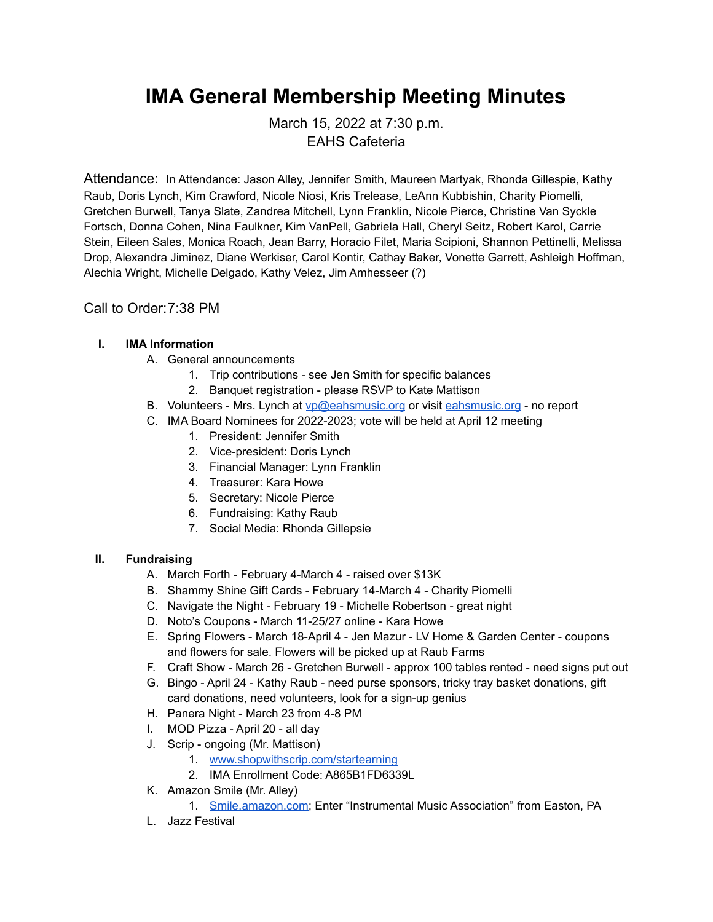# **IMA General Membership Meeting Minutes**

March 15, 2022 at 7:30 p.m. EAHS Cafeteria

Attendance: In Attendance: Jason Alley, Jennifer Smith, Maureen Martyak, Rhonda Gillespie, Kathy Raub, Doris Lynch, Kim Crawford, Nicole Niosi, Kris Trelease, LeAnn Kubbishin, Charity Piomelli, Gretchen Burwell, Tanya Slate, Zandrea Mitchell, Lynn Franklin, Nicole Pierce, Christine Van Syckle Fortsch, Donna Cohen, Nina Faulkner, Kim VanPell, Gabriela Hall, Cheryl Seitz, Robert Karol, Carrie Stein, Eileen Sales, Monica Roach, Jean Barry, Horacio Filet, Maria Scipioni, Shannon Pettinelli, Melissa Drop, Alexandra Jiminez, Diane Werkiser, Carol Kontir, Cathay Baker, Vonette Garrett, Ashleigh Hoffman, Alechia Wright, Michelle Delgado, Kathy Velez, Jim Amhesseer (?)

## Call to Order:7:38 PM

#### **I. IMA Information**

- A. General announcements
	- 1. Trip contributions see Jen Smith for specific balances
	- 2. Banquet registration please RSVP to Kate Mattison
- B. Volunteers Mrs. Lynch at [vp@eahsmusic.org](mailto:vp@eahsmusic.org) or visit [eahsmusic.org](https://eahsmusic.org) no report
- C. IMA Board Nominees for 2022-2023; vote will be held at April 12 meeting
	- 1. President: Jennifer Smith
	- 2. Vice-president: Doris Lynch
	- 3. Financial Manager: Lynn Franklin
	- 4. Treasurer: Kara Howe
	- 5. Secretary: Nicole Pierce
	- 6. Fundraising: Kathy Raub
	- 7. Social Media: Rhonda Gillepsie

#### **II. Fundraising**

- A. March Forth February 4-March 4 raised over \$13K
- B. Shammy Shine Gift Cards February 14-March 4 Charity Piomelli
- C. Navigate the Night February 19 Michelle Robertson great night
- D. Noto's Coupons March 11-25/27 online Kara Howe
- E. Spring Flowers March 18-April 4 Jen Mazur LV Home & Garden Center coupons and flowers for sale. Flowers will be picked up at Raub Farms
- F. Craft Show March 26 Gretchen Burwell approx 100 tables rented need signs put out
- G. Bingo April 24 Kathy Raub need purse sponsors, tricky tray basket donations, gift card donations, need volunteers, look for a sign-up genius
- H. Panera Night March 23 from 4-8 PM
- I. MOD Pizza April 20 all day
- J. Scrip ongoing (Mr. Mattison)
	- 1. [www.shopwithscrip.com/startearning](https://www.shopwithscrip.com/startearning)
	- 2. IMA Enrollment Code: A865B1FD6339L
- K. Amazon Smile (Mr. Alley)
	- 1. [Smile.amazon.com;](https://smile.amazon.com/) Enter "Instrumental Music Association" from Easton, PA
- L. Jazz Festival